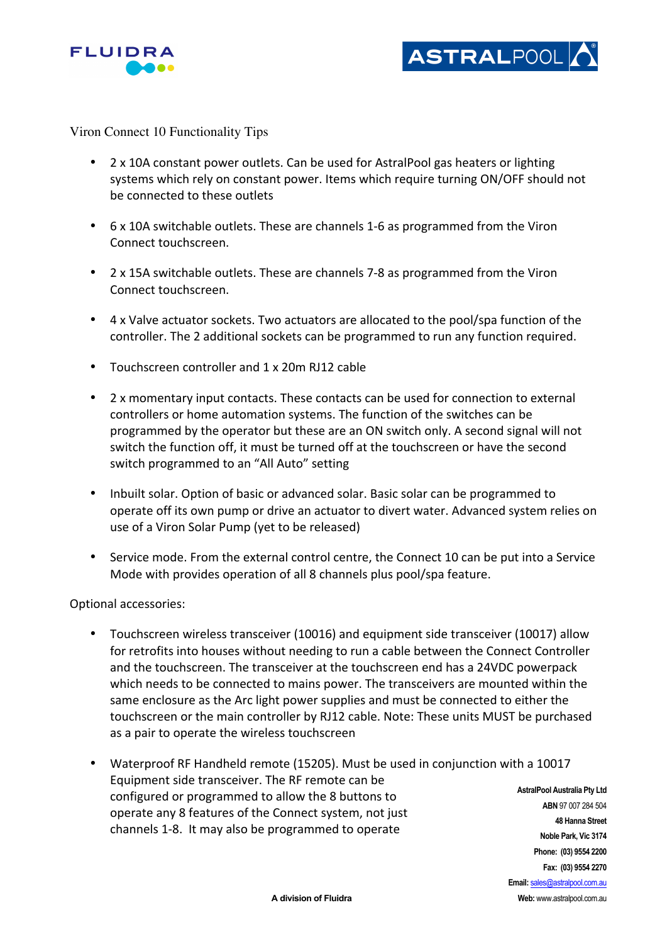



Viron Connect 10 Functionality Tips

- 2 x 10A constant power outlets. Can be used for AstralPool gas heaters or lighting systems which rely on constant power. Items which require turning ON/OFF should not be connected to these outlets
- 6 x 10A switchable outlets. These are channels 1-6 as programmed from the Viron Connect touchscreen.
- 2 x 15A switchable outlets. These are channels 7-8 as programmed from the Viron Connect touchscreen.
- $4 \times$  Valve actuator sockets. Two actuators are allocated to the pool/spa function of the controller. The 2 additional sockets can be programmed to run any function required.
- Touchscreen controller and 1 x 20m RJ12 cable
- 2 x momentary input contacts. These contacts can be used for connection to external controllers or home automation systems. The function of the switches can be programmed by the operator but these are an ON switch only. A second signal will not switch the function off, it must be turned off at the touchscreen or have the second switch programmed to an "All Auto" setting
- Inbuilt solar. Option of basic or advanced solar. Basic solar can be programmed to operate off its own pump or drive an actuator to divert water. Advanced system relies on use of a Viron Solar Pump (yet to be released)
- Service mode. From the external control centre, the Connect 10 can be put into a Service Mode with provides operation of all 8 channels plus pool/spa feature.

Optional accessories:

- Touchscreen wireless transceiver (10016) and equipment side transceiver (10017) allow for retrofits into houses without needing to run a cable between the Connect Controller and the touchscreen. The transceiver at the touchscreen end has a 24VDC powerpack which needs to be connected to mains power. The transceivers are mounted within the same enclosure as the Arc light power supplies and must be connected to either the touchscreen or the main controller by RJ12 cable. Note: These units MUST be purchased as a pair to operate the wireless touchscreen
- **AstralPool Australia Pty Ltd ABN** 97 007 284 504 **48 Hanna Street Noble Park, Vic 3174** • Waterproof RF Handheld remote (15205). Must be used in conjunction with a 10017 Equipment side transceiver. The RF remote can be configured or programmed to allow the 8 buttons to operate any 8 features of the Connect system, not just channels 1-8. It may also be programmed to operate

**Phone: (03) 9554 2200 Fax: (03) 9554 2270 Email:** sales@astralpool.com.au **Web:** www.astralpool.com.au